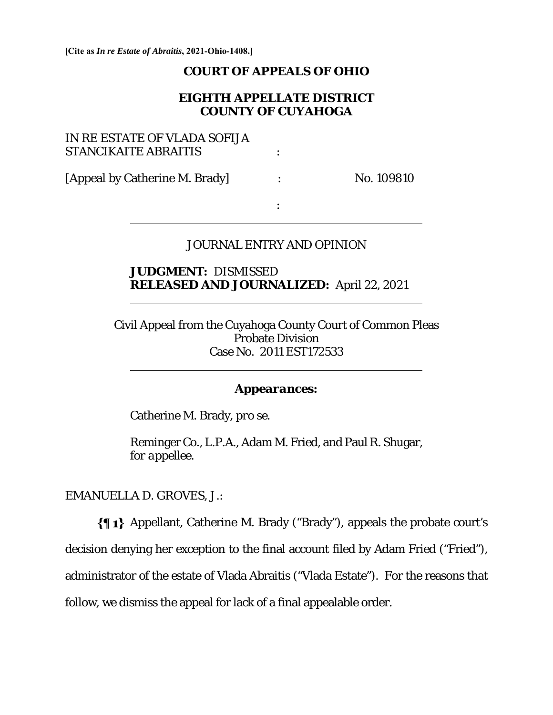**[Cite as** *In re Estate of Abraitis***, 2021-Ohio-1408.]**

### **COURT OF APPEALS OF OHIO**

## **EIGHTH APPELLATE DISTRICT COUNTY OF CUYAHOGA**

| IN RE ESTATE OF VLADA SOFIJA<br><b>STANCIKAITE ABRAITIS</b> |            |
|-------------------------------------------------------------|------------|
| [Appeal by Catherine M. Brady]                              | No. 109810 |
|                                                             |            |

### JOURNAL ENTRY AND OPINION

 **JUDGMENT:** DISMISSED **RELEASED AND JOURNALIZED:** April 22, 2021

Civil Appeal from the Cuyahoga County Court of Common Pleas Probate Division Case No. 2011 EST172533

#### *Appearances:*

Catherine M. Brady, *pro se*.

Reminger Co., L.P.A., Adam M. Fried, and Paul R. Shugar, *for appellee.* 

EMANUELLA D. GROVES, J.:

 $\overline{a}$ 

 $\overline{a}$ 

Appellant, Catherine M. Brady ("Brady"), appeals the probate court's decision denying her exception to the final account filed by Adam Fried ("Fried"), administrator of the estate of Vlada Abraitis ("Vlada Estate"). For the reasons that follow, we dismiss the appeal for lack of a final appealable order.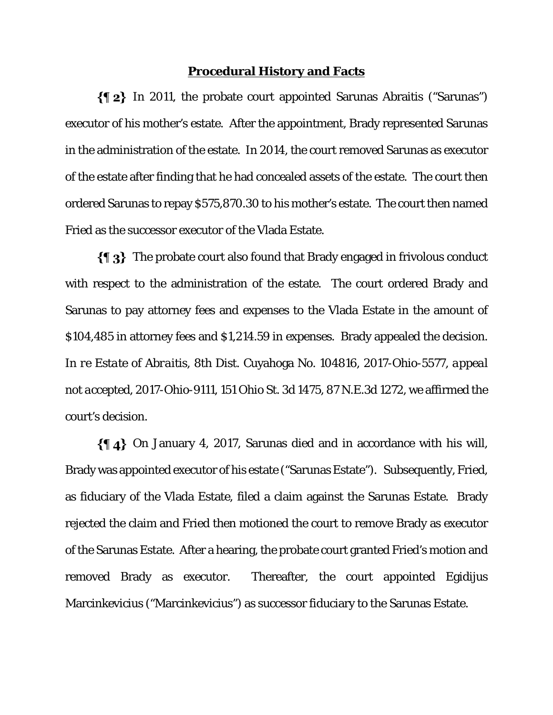#### **Procedural History and Facts**

 In 2011, the probate court appointed Sarunas Abraitis ("Sarunas") executor of his mother's estate. After the appointment, Brady represented Sarunas in the administration of the estate. In 2014, the court removed Sarunas as executor of the estate after finding that he had concealed assets of the estate. The court then ordered Sarunas to repay \$575,870.30 to his mother's estate. The court then named Fried as the successor executor of the Vlada Estate.

 The probate court also found that Brady engaged in frivolous conduct with respect to the administration of the estate. The court ordered Brady and Sarunas to pay attorney fees and expenses to the Vlada Estate in the amount of \$104,485 in attorney fees and \$1,214.59 in expenses. Brady appealed the decision. I*n re Estate of Abraitis*, 8th Dist. Cuyahoga No. 104816, 2017-Ohio-5577, *appeal not accepted*, 2017-Ohio-9111, 151 Ohio St. 3d 1475, 87 N.E.3d 1272, we affirmed the court's decision.

 On January 4, 2017, Sarunas died and in accordance with his will, Brady was appointed executor of his estate ("Sarunas Estate"). Subsequently, Fried, as fiduciary of the Vlada Estate, filed a claim against the Sarunas Estate. Brady rejected the claim and Fried then motioned the court to remove Brady as executor of the Sarunas Estate. After a hearing, the probate court granted Fried's motion and removed Brady as executor. Thereafter, the court appointed Egidijus Marcinkevicius ("Marcinkevicius") as successor fiduciary to the Sarunas Estate.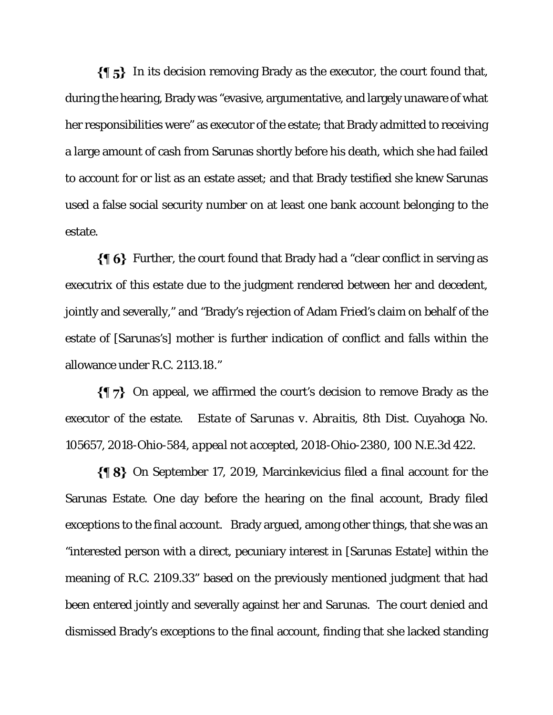$\{\P_5\}$  In its decision removing Brady as the executor, the court found that, during the hearing, Brady was "evasive, argumentative, and largely unaware of what her responsibilities were" as executor of the estate; that Brady admitted to receiving a large amount of cash from Sarunas shortly before his death, which she had failed to account for or list as an estate asset; and that Brady testified she knew Sarunas used a false social security number on at least one bank account belonging to the estate.

 $\{\P_6\}$  Further, the court found that Brady had a "clear conflict in serving as executrix of this estate due to the judgment rendered between her and decedent, jointly and severally," and "Brady's rejection of Adam Fried's claim on behalf of the estate of [Sarunas's] mother is further indication of conflict and falls within the allowance under R.C. 2113.18."

 $\{\P\}$  On appeal, we affirmed the court's decision to remove Brady as the executor of the estate. *Estate of Sarunas v. Abraitis*, 8th Dist. Cuyahoga No. 105657, 2018-Ohio-584, *appeal not accepted*, 2018-Ohio-2380, 100 N.E.3d 422.

 On September 17, 2019, Marcinkevicius filed a final account for the Sarunas Estate. One day before the hearing on the final account, Brady filed exceptions to the final account. Brady argued, among other things, that she was an "interested person with a direct, pecuniary interest in [Sarunas Estate] within the meaning of R.C. 2109.33" based on the previously mentioned judgment that had been entered jointly and severally against her and Sarunas. The court denied and dismissed Brady's exceptions to the final account, finding that she lacked standing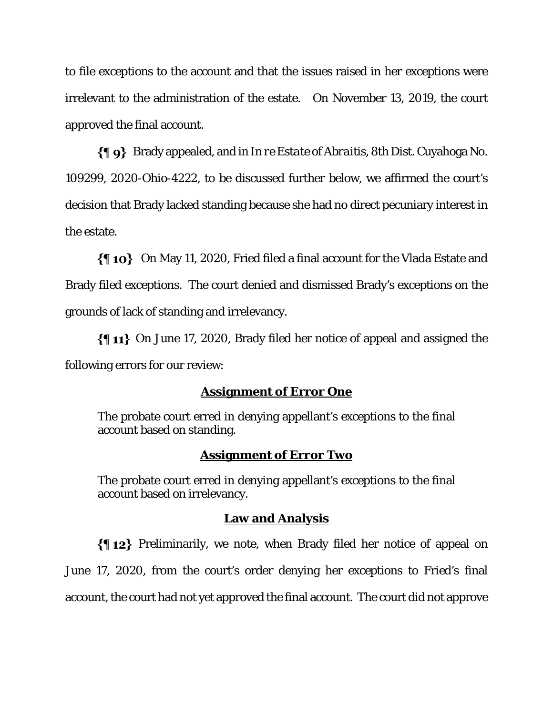to file exceptions to the account and that the issues raised in her exceptions were irrelevant to the administration of the estate. On November 13, 2019, the court approved the final account.

 Brady appealed, and in *In re Estate of Abraitis,* 8th Dist. Cuyahoga No. 109299, 2020-Ohio-4222, to be discussed further below, we affirmed the court's decision that Brady lacked standing because she had no direct pecuniary interest in the estate.

 On May 11, 2020, Fried filed a final account for the Vlada Estate and Brady filed exceptions. The court denied and dismissed Brady's exceptions on the grounds of lack of standing and irrelevancy.

 $\{\{\,\,\mathbf{11}\}\,$  On June 17, 2020, Brady filed her notice of appeal and assigned the following errors for our review:

# **Assignment of Error One**

The probate court erred in denying appellant's exceptions to the final account based on standing.

# **Assignment of Error Two**

The probate court erred in denying appellant's exceptions to the final account based on irrelevancy.

## **Law and Analysis**

Preliminarily, we note, when Brady filed her notice of appeal on June 17, 2020, from the court's order denying her exceptions to Fried's final account, the court had not yet approved the final account. The court did not approve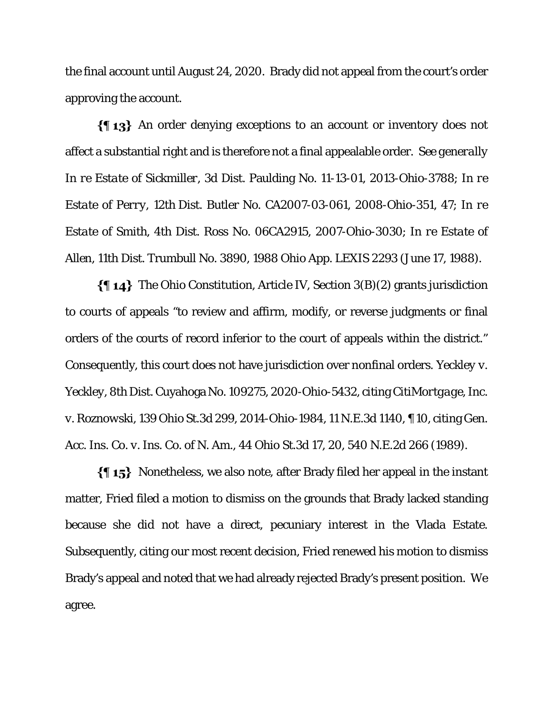the final account until August 24, 2020. Brady did not appeal from the court's order approving the account.

An order denying exceptions to an account or inventory does not affect a substantial right and is therefore not a final appealable order. *See generally In re Estate of Sickmiller*, 3d Dist. Paulding No. 11-13-01, 2013-Ohio-3788; *In re Estate of Perry*, 12th Dist. Butler No. CA2007-03-061, 2008-Ohio-351, 47; *In re Estate of Smith*, 4th Dist. Ross No. 06CA2915, 2007-Ohio-3030; *In re Estate of Allen*, 11th Dist. Trumbull No. 3890, 1988 Ohio App. LEXIS 2293 (June 17, 1988).

 $\{\P 14\}$  The Ohio Constitution, Article IV, Section 3(B)(2) grants jurisdiction to courts of appeals "to review and affirm, modify, or reverse judgments or final orders of the courts of record inferior to the court of appeals within the district." Consequently, this court does not have jurisdiction over nonfinal orders. *Yeckley v. Yeckley*, 8th Dist. Cuyahoga No. 109275, 2020-Ohio-5432, citing *CitiMortgage, Inc. v. Roznowski*, 139 Ohio St.3d 299, 2014-Ohio-1984, 11 N.E.3d 1140, ¶ 10, citing *Gen. Acc. Ins. Co. v. Ins. Co. of N. Am.*, 44 Ohio St.3d 17, 20, 540 N.E.2d 266 (1989).

 $\{\{\,\,\,\,\,\}\}$  Nonetheless, we also note, after Brady filed her appeal in the instant matter, Fried filed a motion to dismiss on the grounds that Brady lacked standing because she did not have a direct, pecuniary interest in the Vlada Estate. Subsequently, citing our most recent decision, Fried renewed his motion to dismiss Brady's appeal and noted that we had already rejected Brady's present position. We agree.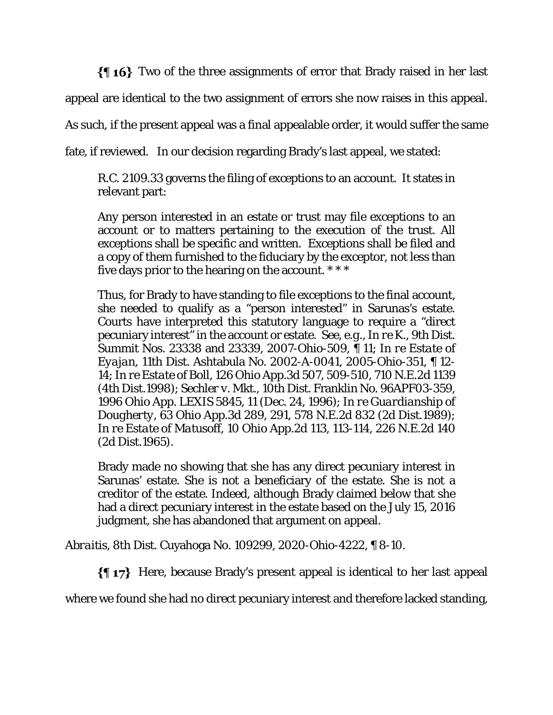$\{\{\,\,\,\,\,\}\}$  Two of the three assignments of error that Brady raised in her last

appeal are identical to the two assignment of errors she now raises in this appeal.

As such, if the present appeal was a final appealable order, it would suffer the same

fate, if reviewed. In our decision regarding Brady's last appeal, we stated:

R.C. 2109.33 governs the filing of exceptions to an account. It states in relevant part:

Any person interested in an estate or trust may file exceptions to an account or to matters pertaining to the execution of the trust. All exceptions shall be specific and written. Exceptions shall be filed and a copy of them furnished to the fiduciary by the exceptor, not less than five days prior to the hearing on the account. \* \* \*

Thus, for Brady to have standing to file exceptions to the final account, she needed to qualify as a "person interested" in Sarunas's estate. Courts have interpreted this statutory language to require a "direct pecuniary interest" in the account or estate. *See, e.g.*, *In re K.*, 9th Dist. Summit Nos. 23338 and 23339, 2007-Ohio-509, ¶ 11; *In re Estate of Eyajan*, 11th Dist. Ashtabula No. 2002-A-0041, 2005-Ohio-351, ¶ 12- 14; *In re Estate of Boll*, 126 Ohio App.3d 507, 509-510, 710 N.E.2d 1139 (4th Dist.1998); *Sechler v. Mkt.*, 10th Dist. Franklin No. 96APF03-359, 1996 Ohio App. LEXIS 5845, 11 (Dec. 24, 1996); *In re Guardianship of Dougherty*, 63 Ohio App.3d 289, 291, 578 N.E.2d 832 (2d Dist.1989); *In re Estate of Matusoff*, 10 Ohio App.2d 113, 113-114, 226 N.E.2d 140 (2d Dist.1965).

Brady made no showing that she has any direct pecuniary interest in Sarunas' estate. She is not a beneficiary of the estate. She is not a creditor of the estate. Indeed, although Brady claimed below that she had a direct pecuniary interest in the estate based on the July 15, 2016 judgment, she has abandoned that argument on appeal.

*Abraitis,* 8th Dist. Cuyahoga No. 109299, 2020-Ohio-4222, ¶ 8-10.

 $\{\P\$  17} Here, because Brady's present appeal is identical to her last appeal

where we found she had no direct pecuniary interest and therefore lacked standing,